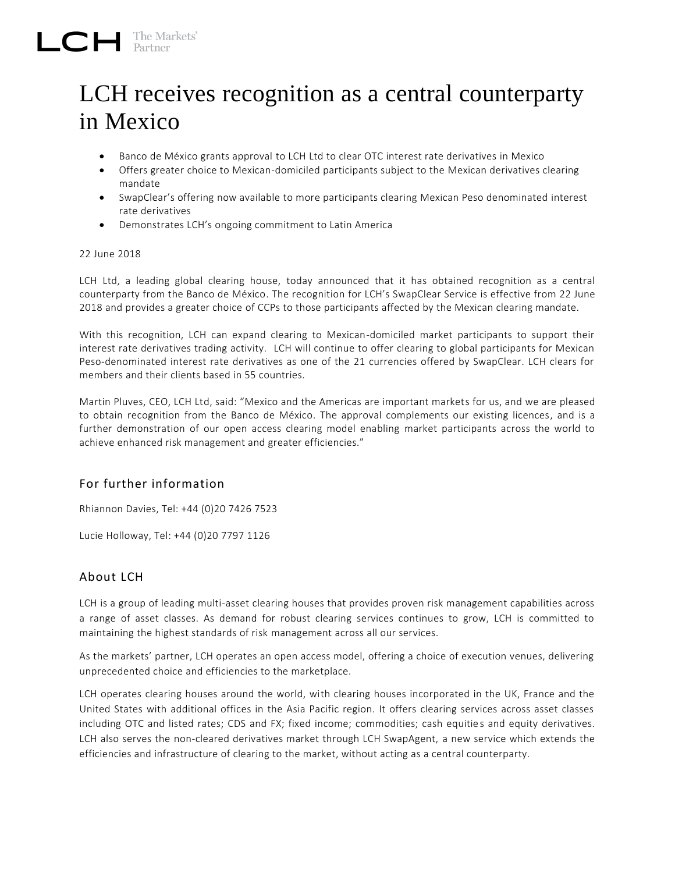## LCH receives recognition as a central counterparty in Mexico

- Banco de México grants approval to LCH Ltd to clear OTC interest rate derivatives in Mexico
- Offers greater choice to Mexican-domiciled participants subject to the Mexican derivatives clearing mandate
- SwapClear's offering now available to more participants clearing Mexican Peso denominated interest rate derivatives
- Demonstrates LCH's ongoing commitment to Latin America

## 22 June 2018

LCH Ltd, a leading global clearing house, today announced that it has obtained recognition as a central counterparty from the Banco de México. The recognition for LCH's SwapClear Service is effective from 22 June 2018 and provides a greater choice of CCPs to those participants affected by the Mexican clearing mandate.

With this recognition, LCH can expand clearing to Mexican-domiciled market participants to support their interest rate derivatives trading activity. LCH will continue to offer clearing to global participants for Mexican Peso-denominated interest rate derivatives as one of the 21 currencies offered by SwapClear. LCH clears for members and their clients based in 55 countries.

Martin Pluves, CEO, LCH Ltd, said: "Mexico and the Americas are important markets for us, and we are pleased to obtain recognition from the Banco de México. The approval complements our existing licences, and is a further demonstration of our open access clearing model enabling market participants across the world to achieve enhanced risk management and greater efficiencies."

## For further information

Rhiannon Davies, Tel: +44 (0)20 7426 7523

Lucie Holloway, Tel: +44 (0)20 7797 1126

## About LCH

LCH is a group of leading multi-asset clearing houses that provides proven risk management capabilities across a range of asset classes. As demand for robust clearing services continues to grow, LCH is committed to maintaining the highest standards of risk management across all our services.

As the markets' partner, LCH operates an open access model, offering a choice of execution venues, delivering unprecedented choice and efficiencies to the marketplace.

LCH operates clearing houses around the world, with clearing houses incorporated in the UK, France and the United States with additional offices in the Asia Pacific region. It offers clearing services across asset classes including OTC and listed rates; CDS and FX; fixed income; commodities; cash equities and equity derivatives. LCH also serves the non-cleared derivatives market through LCH SwapAgent, a new service which extends the efficiencies and infrastructure of clearing to the market, without acting as a central counterparty.